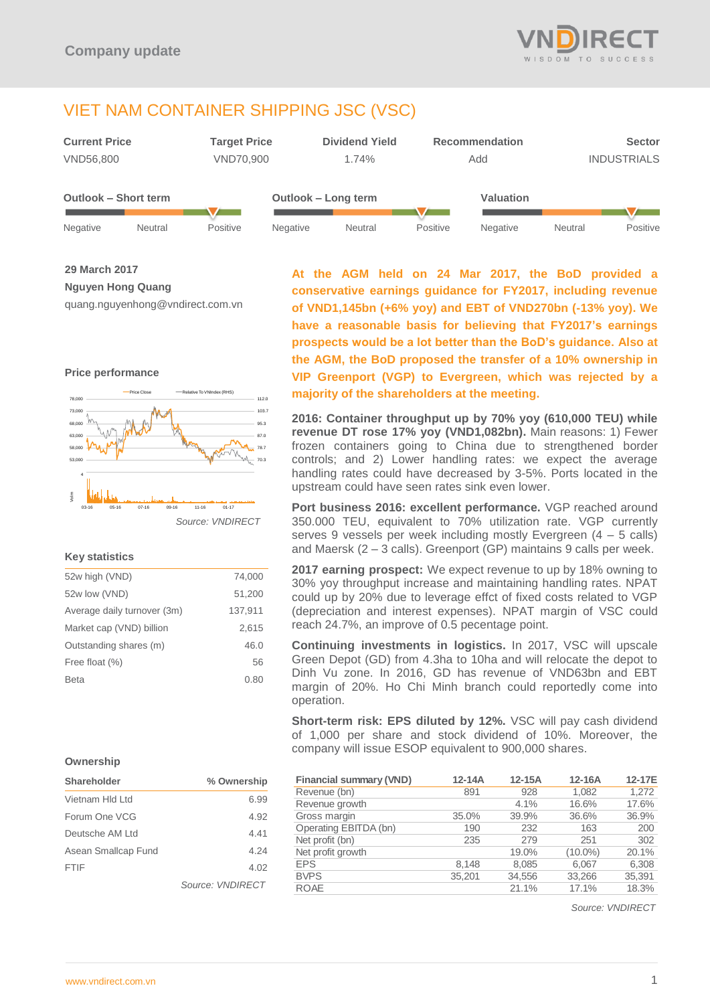

# VIET NAM CONTAINER SHIPPING JSC (VSC)



**29 March 2017**

**Nguyen Hong Quang**

quang.nguyenhong@vndirect.com.vn

### **Price performance**



### **Key statistics**

| 52w high (VND)              | 74,000  |
|-----------------------------|---------|
| 52w low (VND)               | 51.200  |
| Average daily turnover (3m) | 137,911 |
| Market cap (VND) billion    | 2,615   |
| Outstanding shares (m)      | 46.0    |
| Free float (%)              | 56      |
| <b>Beta</b>                 | 0.80    |
|                             |         |

**At the AGM held on 24 Mar 2017, the BoD provided a conservative earnings guidance for FY2017, including revenue of VND1,145bn (+6% yoy) and EBT of VND270bn (-13% yoy). We have a reasonable basis for believing that FY2017's earnings prospects would be a lot better than the BoD's guidance. Also at the AGM, the BoD proposed the transfer of a 10% ownership in VIP Greenport (VGP) to Evergreen, which was rejected by a majority of the shareholders at the meeting.**

**2016: Container throughput up by 70% yoy (610,000 TEU) while revenue DT rose 17% yoy (VND1,082bn).** Main reasons: 1) Fewer frozen containers going to China due to strengthened border controls; and 2) Lower handling rates: we expect the average handling rates could have decreased by 3-5%. Ports located in the upstream could have seen rates sink even lower.

**Port business 2016: excellent performance.** VGP reached around 350.000 TEU, equivalent to 70% utilization rate. VGP currently serves 9 vessels per week including mostly Evergreen (4 – 5 calls) and Maersk (2 – 3 calls). Greenport (GP) maintains 9 calls per week.

**2017 earning prospect:** We expect revenue to up by 18% owning to 30% yoy throughput increase and maintaining handling rates. NPAT could up by 20% due to leverage effct of fixed costs related to VGP (depreciation and interest expenses). NPAT margin of VSC could reach 24.7%, an improve of 0.5 pecentage point.

**Continuing investments in logistics.** In 2017, VSC will upscale Green Depot (GD) from 4.3ha to 10ha and will relocate the depot to Dinh Vu zone. In 2016, GD has revenue of VND63bn and EBT margin of 20%. Ho Chi Minh branch could reportedly come into operation.

**Short-term risk: EPS diluted by 12%.** VSC will pay cash dividend of 1,000 per share and stock dividend of 10%. Moreover, the company will issue ESOP equivalent to 900,000 shares.

| <b>Financial summary (VND)</b> | $12-14A$ | 12-15A | 12-16A     | 12-17E |
|--------------------------------|----------|--------|------------|--------|
| Revenue (bn)                   | 891      | 928    | 1.082      | 1.272  |
| Revenue growth                 |          | 4.1%   | 16.6%      | 17.6%  |
| Gross margin                   | 35.0%    | 39.9%  | 36.6%      | 36.9%  |
| Operating EBITDA (bn)          | 190      | 232    | 163        | 200    |
| Net profit (bn)                | 235      | 279    | 251        | 302    |
| Net profit growth              |          | 19.0%  | $(10.0\%)$ | 20.1%  |
| <b>EPS</b>                     | 8,148    | 8,085  | 6,067      | 6,308  |
| <b>BVPS</b>                    | 35,201   | 34.556 | 33.266     | 35,391 |
| <b>ROAE</b>                    |          | 21.1%  | 17.1%      | 18.3%  |

**Ownership**

| Shareholder         | % Ownership      |  |
|---------------------|------------------|--|
| Vietnam Hld I td    | 6.99             |  |
| Forum One VCG       | 4.92             |  |
| Deutsche AM I td    | 4.41             |  |
| Asean Smallcap Fund | 4.24             |  |
| <b>FTIF</b>         | 4.02             |  |
|                     | Source: VNDIRECT |  |

*Source: VNDIRECT*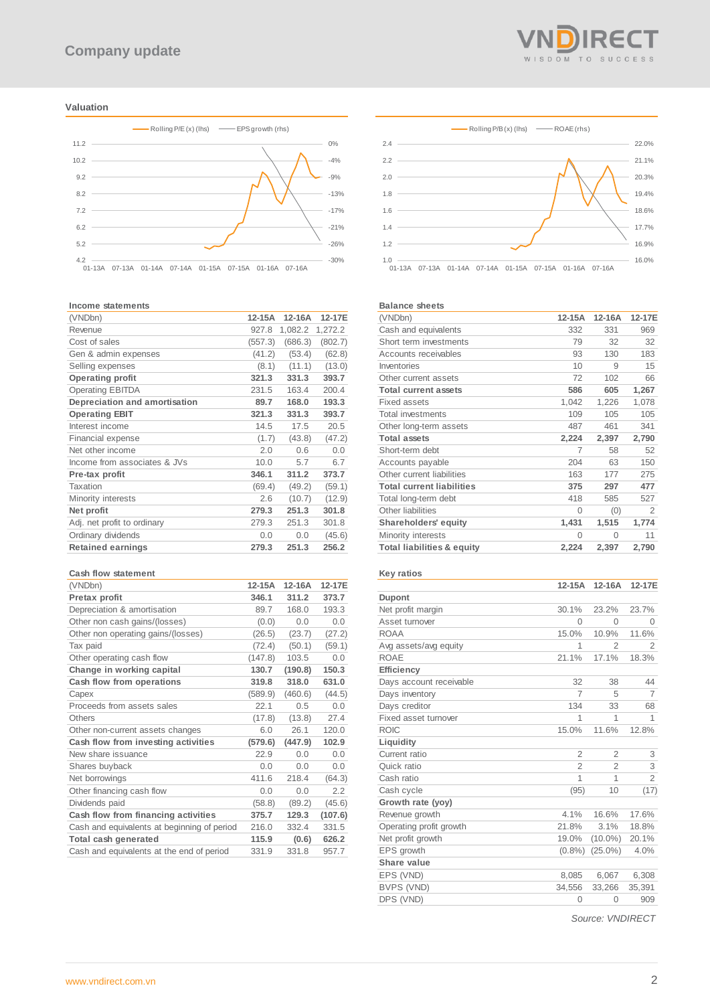### **Valuation**



#### **Income statements**

| (VNDbn)                       | 12-15A  | $12-16A$ | 12-17E  |
|-------------------------------|---------|----------|---------|
| Revenue                       | 927.8   | 1,082.2  | 1,272.2 |
| Cost of sales                 | (557.3) | (686.3)  | (802.7) |
| Gen & admin expenses          | (41.2)  | (53.4)   | (62.8)  |
| Selling expenses              | (8.1)   | (11.1)   | (13.0)  |
| <b>Operating profit</b>       | 321.3   | 331.3    | 393.7   |
| <b>Operating EBITDA</b>       | 231.5   | 163.4    | 200.4   |
| Depreciation and amortisation | 89.7    | 168.0    | 193.3   |
| <b>Operating EBIT</b>         | 321.3   | 331.3    | 393.7   |
| Interest income               | 14.5    | 17.5     | 20.5    |
| <b>Financial expense</b>      | (1.7)   | (43.8)   | (47.2)  |
| Net other income              | 2.0     | 0.6      | 0.0     |
| Income from associates & JVs  | 10.0    | 5.7      | 6.7     |
| Pre-tax profit                | 346.1   | 311.2    | 373.7   |
| Taxation                      | (69.4)  | (49.2)   | (59.1)  |
| Minority interests            | 2.6     | (10.7)   | (12.9)  |
| Net profit                    | 279.3   | 251.3    | 301.8   |
| Adj. net profit to ordinary   | 279.3   | 251.3    | 301.8   |
| Ordinary dividends            | 0.0     | 0.0      | (45.6)  |
| <b>Retained earnings</b>      | 279.3   | 251.3    | 256.2   |

#### **Cash flow statement**

| (VNDbn)                                     | 12-15A  | 12-16A  | 12-17E  |
|---------------------------------------------|---------|---------|---------|
| Pretax profit                               | 346.1   | 311.2   | 373.7   |
| Depreciation & amortisation                 | 89.7    | 168.0   | 193.3   |
| Other non cash gains/(losses)               | (0.0)   | 0.0     | 0.0     |
| Other non operating gains/(losses)          | (26.5)  | (23.7)  | (27.2)  |
| Tax paid                                    | (72.4)  | (50.1)  | (59.1)  |
| Other operating cash flow                   | (147.8) | 103.5   | 0.0     |
| Change in working capital                   | 130.7   | (190.8) | 150.3   |
| Cash flow from operations                   | 319.8   | 318.0   | 631.0   |
| Capex                                       | (589.9) | (460.6) | (44.5)  |
| Proceeds from assets sales                  | 22.1    | 0.5     | 0.0     |
| Others                                      | (17.8)  | (13.8)  | 27.4    |
| Other non-current assets changes            | 6.0     | 26.1    | 120.0   |
| Cash flow from investing activities         | (579.6) | (447.9) | 102.9   |
| New share issuance                          | 22.9    | 0.0     | 0.0     |
| Shares buyback                              | 0.0     | 0.0     | 0.0     |
| Net borrowings                              | 411.6   | 218.4   | (64.3)  |
| Other financing cash flow                   | 0.0     | 0.0     | 2.2     |
| Dividends paid                              | (58.8)  | (89.2)  | (45.6)  |
| Cash flow from financing activities         | 375.7   | 129.3   | (107.6) |
| Cash and equivalents at beginning of period | 216.0   | 332.4   | 331.5   |
| Total cash generated                        | 115.9   | (0.6)   | 626.2   |
| Cash and equivalents at the end of period   | 331.9   | 331.8   | 957.7   |





#### **Balance sheets**

| (VNDbn)                               | 12-15A | 12-16A   | 12-17E |
|---------------------------------------|--------|----------|--------|
| Cash and equivalents                  | 332    | 331      | 969    |
| Short term investments                | 79     | 32       | 32     |
| Accounts receivables                  | 93     | 130      | 183    |
| Inventories                           | 10     | 9        | 15     |
| Other current assets                  | 72     | 102      | 66     |
| <b>Total current assets</b>           | 586    | 605      | 1,267  |
| <b>Fixed assets</b>                   | 1,042  | 1,226    | 1,078  |
| <b>Total investments</b>              | 109    | 105      | 105    |
| Other long-term assets                | 487    | 461      | 341    |
| <b>Total assets</b>                   | 2,224  | 2,397    | 2,790  |
| Short-term debt                       | 7      | 58       | 52     |
| Accounts payable                      | 204    | 63       | 150    |
| Other current liabilities             | 163    | 177      | 275    |
| <b>Total current liabilities</b>      | 375    | 297      | 477    |
| Total long-term debt                  | 418    | 585      | 527    |
| Other liabilities                     | 0      | (0)      | 2      |
| <b>Shareholders' equity</b>           | 1,431  | 1,515    | 1,774  |
| Minority interests                    | 0      | $\Omega$ | 11     |
| <b>Total liabilities &amp; equity</b> | 2,224  | 2,397    | 2,790  |
|                                       |        |          |        |

### **Key ratios**

|                         | $12-15A$       | $12-16A$       | 12-17E         |
|-------------------------|----------------|----------------|----------------|
| <b>Dupont</b>           |                |                |                |
| Net profit margin       | 30.1%          | 23.2%          | 23.7%          |
| Asset turnover          | $\Omega$       | $\Omega$       | $\Omega$       |
| <b>ROAA</b>             | 15.0%          | 10.9%          | 11.6%          |
| Avg assets/avg equity   | 1              | $\overline{2}$ | $\overline{2}$ |
| <b>ROAE</b>             | 21.1%          | 17.1%          | 18.3%          |
| <b>Efficiency</b>       |                |                |                |
| Days account receivable | 32             | 38             | 44             |
| Days inventory          | $\overline{7}$ | 5              | $\overline{7}$ |
| Days creditor           | 134            | 33             | 68             |
| Fixed asset turnover    | 1              | 1              | 1              |
| <b>ROIC</b>             | 15.0%          | 11.6%          | 12.8%          |
| Liquidity               |                |                |                |
| Current ratio           | $\overline{2}$ | $\overline{2}$ | 3              |
| Quick ratio             | $\overline{2}$ | $\overline{2}$ | 3              |
| Cash ratio              | 1              | 1              | $\overline{2}$ |
| Cash cycle              | (95)           | 10             | (17)           |
| Growth rate (yoy)       |                |                |                |
| Revenue growth          | 4.1%           | 16.6%          | 17.6%          |
| Operating profit growth | 21.8%          | 3.1%           | 18.8%          |
| Net profit growth       | 19.0%          | $(10.0\%)$     | 20.1%          |
| EPS growth              | $(0.8\%)$      | $(25.0\%)$     | 4.0%           |
| Share value             |                |                |                |
| EPS (VND)               | 8,085          | 6,067          | 6,308          |
| BVPS (VND)              | 34,556         | 33,266         | 35,391         |
| DPS (VND)               | 0              | 0              | 909            |
|                         |                |                |                |

*Source: VNDIRECT*